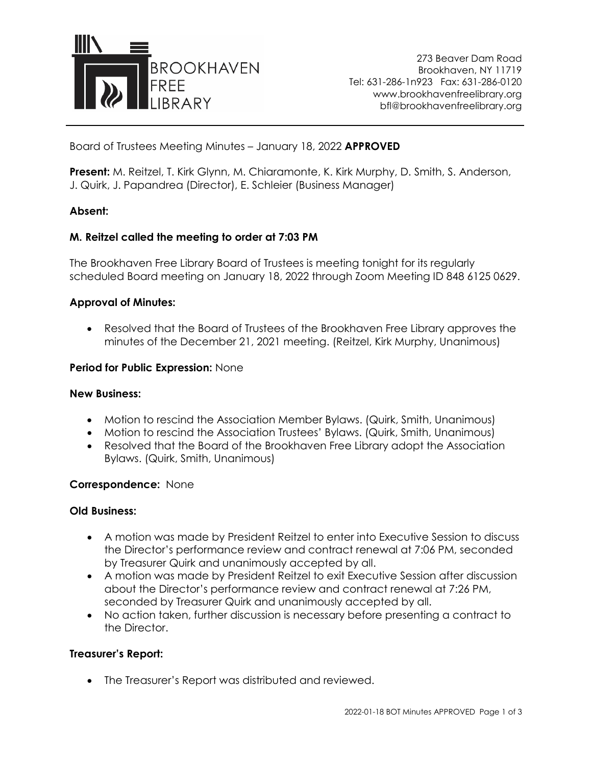

273 Beaver Dam Road Brookhaven, NY 11719 Tel: 631-286-1n923 Fax: 631-286-0120 www.brookhavenfreelibrary.org bfl@brookhavenfreelibrary.org

Board of Trustees Meeting Minutes – January 18, 2022 **APPROVED**

**Present:** M. Reitzel, T. Kirk Glynn, M. Chiaramonte, K. Kirk Murphy, D. Smith, S. Anderson, J. Quirk, J. Papandrea (Director), E. Schleier (Business Manager)

## **Absent:**

## **M. Reitzel called the meeting to order at 7:03 PM**

The Brookhaven Free Library Board of Trustees is meeting tonight for its regularly scheduled Board meeting on January 18, 2022 through Zoom Meeting ID 848 6125 0629.

## **Approval of Minutes:**

• Resolved that the Board of Trustees of the Brookhaven Free Library approves the minutes of the December 21, 2021 meeting. (Reitzel, Kirk Murphy, Unanimous)

#### **Period for Public Expression:** None

### **New Business:**

- Motion to rescind the Association Member Bylaws. (Quirk, Smith, Unanimous)
- Motion to rescind the Association Trustees' Bylaws. (Quirk, Smith, Unanimous)
- Resolved that the Board of the Brookhaven Free Library adopt the Association Bylaws. (Quirk, Smith, Unanimous)

#### **Correspondence:** None

#### **Old Business:**

- A motion was made by President Reitzel to enter into Executive Session to discuss the Director's performance review and contract renewal at 7:06 PM, seconded by Treasurer Quirk and unanimously accepted by all.
- A motion was made by President Reitzel to exit Executive Session after discussion about the Director's performance review and contract renewal at 7:26 PM, seconded by Treasurer Quirk and unanimously accepted by all.
- No action taken, further discussion is necessary before presenting a contract to the Director.

#### **Treasurer's Report:**

• The Treasurer's Report was distributed and reviewed.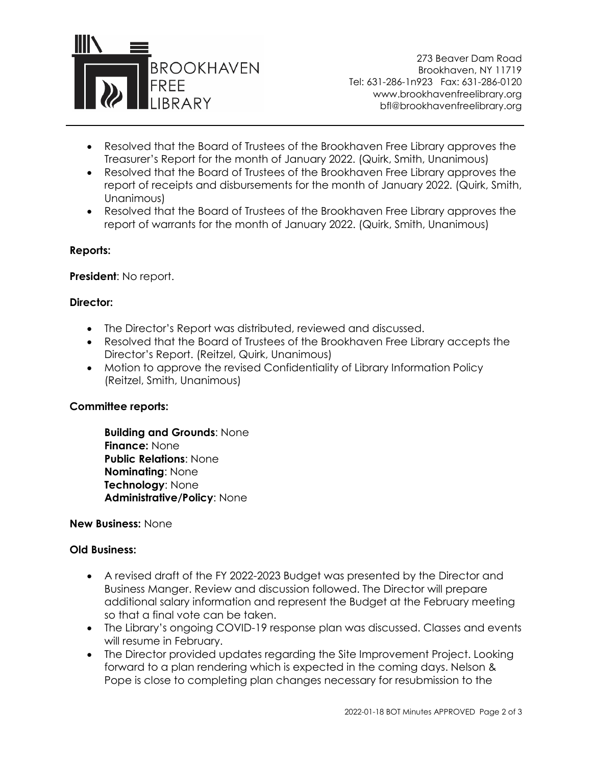

273 Beaver Dam Road Brookhaven, NY 11719 Tel: 631-286-1n923 Fax: 631-286-0120 www.brookhavenfreelibrary.org bfl@brookhavenfreelibrary.org

- Resolved that the Board of Trustees of the Brookhaven Free Library approves the Treasurer's Report for the month of January 2022. (Quirk, Smith, Unanimous)
- Resolved that the Board of Trustees of the Brookhaven Free Library approves the report of receipts and disbursements for the month of January 2022. (Quirk, Smith, Unanimous)
- Resolved that the Board of Trustees of the Brookhaven Free Library approves the report of warrants for the month of January 2022. (Quirk, Smith, Unanimous)

## **Reports:**

**President**: No report.

## **Director:**

- The Director's Report was distributed, reviewed and discussed.
- Resolved that the Board of Trustees of the Brookhaven Free Library accepts the Director's Report. (Reitzel, Quirk, Unanimous)
- Motion to approve the revised Confidentiality of Library Information Policy (Reitzel, Smith, Unanimous)

#### **Committee reports:**

**Building and Grounds**: None **Finance:** None **Public Relations**: None **Nominating**: None **Technology**: None **Administrative/Policy**: None

**New Business:** None

#### **Old Business:**

- A revised draft of the FY 2022-2023 Budget was presented by the Director and Business Manger. Review and discussion followed. The Director will prepare additional salary information and represent the Budget at the February meeting so that a final vote can be taken.
- The Library's ongoing COVID-19 response plan was discussed. Classes and events will resume in February.
- The Director provided updates regarding the Site Improvement Project. Looking forward to a plan rendering which is expected in the coming days. Nelson & Pope is close to completing plan changes necessary for resubmission to the